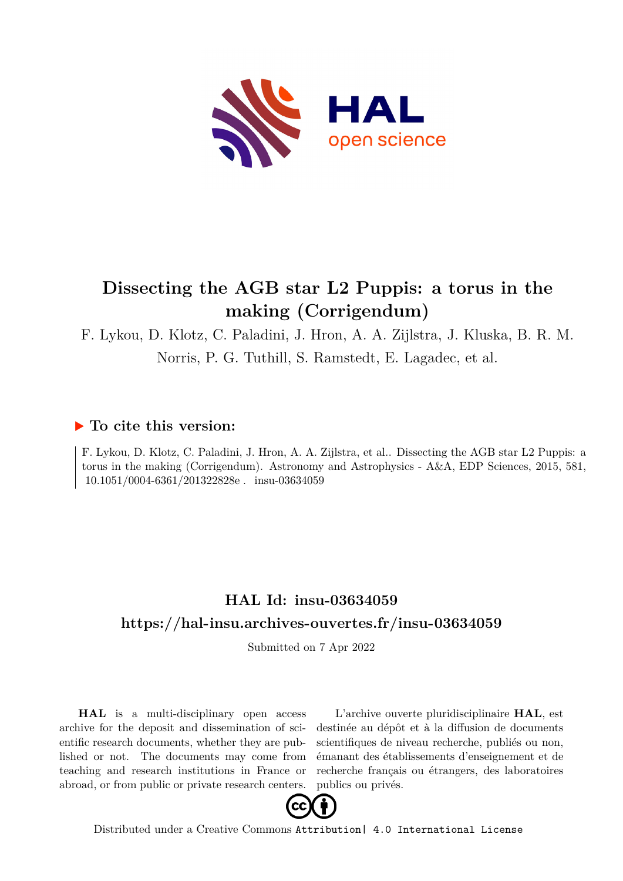<span id="page-0-0"></span>

# **Dissecting the AGB star L2 Puppis: a torus in the making (Corrigendum)**

F. Lykou, D. Klotz, C. Paladini, J. Hron, A. A. Zijlstra, J. Kluska, B. R. M.

Norris, P. G. Tuthill, S. Ramstedt, E. Lagadec, et al.

### **To cite this version:**

F. Lykou, D. Klotz, C. Paladini, J. Hron, A. A. Zijlstra, et al.. Dissecting the AGB star L2 Puppis: a torus in the making (Corrigendum). Astronomy and Astrophysics - A&A, EDP Sciences, 2015, 581,  $10.1051/0004\mbox{-}6361/201322828e$  .  $\,$  insu-03634059  $\,$ 

## **HAL Id: insu-03634059 <https://hal-insu.archives-ouvertes.fr/insu-03634059>**

Submitted on 7 Apr 2022

**HAL** is a multi-disciplinary open access archive for the deposit and dissemination of scientific research documents, whether they are published or not. The documents may come from teaching and research institutions in France or abroad, or from public or private research centers.

L'archive ouverte pluridisciplinaire **HAL**, est destinée au dépôt et à la diffusion de documents scientifiques de niveau recherche, publiés ou non, émanant des établissements d'enseignement et de recherche français ou étrangers, des laboratoires publics ou privés.



Distributed under a Creative Commons [Attribution| 4.0 International License](http://creativecommons.org/licenses/by/4.0/)